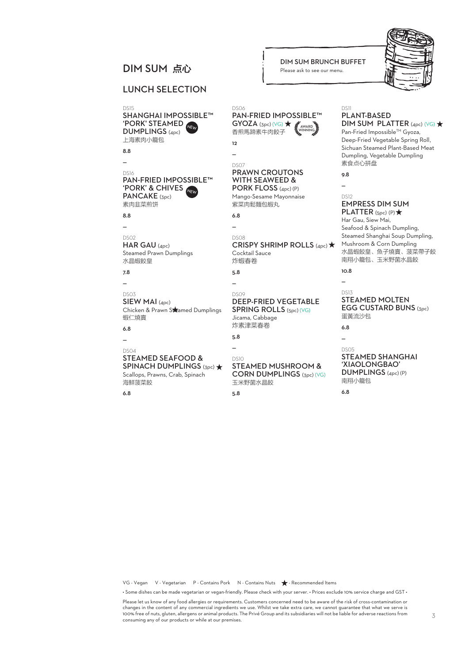## LUNCH SELECTION

DS15 SHANGHAI IMPOSSIBLE™<br>'PORK' STEAMED DUMPLINGS (4pc) 上海素肉小籠包 NEW

8.8 —

## DS16<br>PAN-FRIED IMPOSSIBLE<sup>TM</sup> PAN-FRIED IMPOSSIBLE™<br>'PORK' & CHIVES<br>PORK! !!⊂ PANCAKE (3pc) 素肉韭菜煎饼

8.8

— DS02

HAR GAU (4pc) Steamed Prawn Dumplings 水晶蝦餃皇

7.8 —

#### DS03 SIEW MAI (4pc) Chicken & Prawn Stramed Dumplings 蝦仁燒賣

6.8 —

#### DS04 STEAMED SEAFOOD & SPINACH DUMPLINGS (3pc) \* Scallops, Prawns, Crab, Spinach 海鮮菠菜餃

6.8

#### DIM SUM BRUNCH BUFFET<br>
DIM SUM 点心 
<br>
Diesse ask to see our menu. Please ask to see our menu.

#### DS06 PAN-FRIED IMPOSSIBLE™  $GYOZA$  (3pc) (VG)  $\bigstar$ 香煎馬蹄素牛肉餃子 **12** — DS07 PRAWN CROUTONS WITH SEAWEED & PORK FLOSS (4pc) (P) Mango-Sesame Mayonnaise 紫菜肉鬆麵包;蝦丸, 6.8  $\overline{\phantom{a}}$ DS08 CRISPY SHRIMP ROLLS (4pc) \* Cocktail Sauce 炸蝦春卷 5.8 — DS09 DEEP-FRIED VEGETABLE SPRING ROLLS (5pc) (VG) Jicama, Cabbage 炸素津菜春卷 5.8  $\overline{a}$ DS10 STEAMED MUSHROOM & CORN DUMPLINGS (3pc) (VG) DS11 PLANT-BASED DIM SUM PLATTER  $(4pc)$  (VG)  $\star$ Pan-Fried Impossible™ Gyoza, Deep-Fried Vegetable Spring Roll, Sichuan Steamed Plant-Based Meat Dumpling, Vegetable Dumpling 素食点心拼盘 9.8 — DS12 EMPRESS DIM SUM PLATTER  $(Spc)$  (P)  $\star$ Har Gau, Siew Mai, Seafood & Spinach Dumpling, Steamed Shanghai Soup Dumpling, Mushroom & Corn Dumpling 水晶蝦餃皇、魚子燒賣、菠菜帶子餃 南翔小籠包、玉米野菌水晶餃 10.8  $\overline{a}$ DS13 STEAMED MOLTEN EGG CUSTARD BUNS (3pc) 蛋黃流沙包 6.8 — DS05 STEAMED SHANGHAI 'XIAOLONGBAO' DUMPLINGS (4pc) (P) 南翔小籠包 AWARD WINNING

6.8

VG - Vegan V - Vegetarian P - Contains Pork N - Contains Nuts  $\bigstar$  - Recommended Items

• Some dishes can be made vegetarian or vegan-friendly. Please check with your server. • Prices exclude 10% service charge and GST •

Please let us know of any food allergies or requirements. Customers concerned need to be aware of the risk of cross-contamination or changes in the content of any commercial ingredients we use. Whilst we take extra care, we cannot guarantee that what we serve is 100% free of nuts, gluten, allergens or animal products. The Privé Group and its subsidiaries will not be liable for adverse reactions from consuming any of our products or while at our premises.



玉米野菌水晶餃

5.8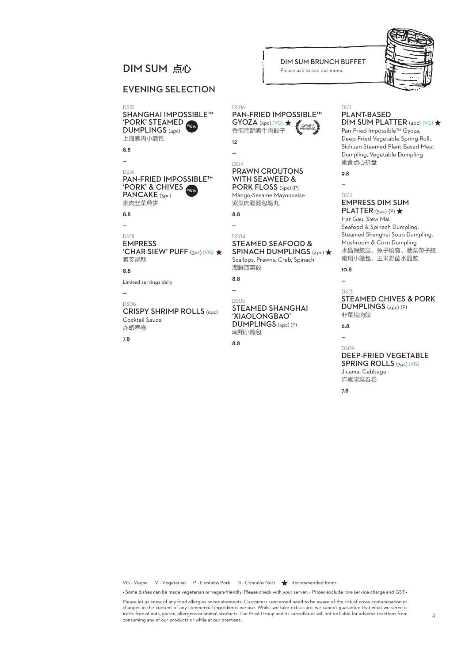# DIM SUM BRUNCH BUFFET<br>
DIM SUM 点心 
<br>
Diesse ask to see our menu.

## EVENING SELECTION

'PORK' STEAMED DS15 SHANGHAI IMPOSSIBLE™ DUMPLINGS (4pc) 上海素肉小籠包

8.8 —

#### 'PORK' & CHIVES NEW DS16 PAN-FRIED IMPOSSIBLE™ PANCAKE (3pc) 素肉韭菜煎饼

8.8

#### —

DS01 EMPRESS 'CHAR SIEW' PUFF  $(3pc)$  (VG)  $\star$ 素叉烧酥

8.8

Limited servings daily

#### — DS08

CRISPY SHRIMP ROLLS (6pc) Cocktail Sauce 炸蝦春卷

7.8

#### DS06 PAN-FRIED IMPOSSIBLE™  $GYOZA$  (3pc) (VG)  $\bigstar$ 香煎馬蹄素牛肉餃子 AWARD WINNING

Please ask to see our menu.

12 —

#### DS14 PRAWN CROUTONS WITH SEAWEED & PORK FLOSS (5pc) (P)

Mango-Sesame Mayonnaise 紫菜肉鬆麵包蝦丸

8.8 —

#### DS04 STEAMED SEAFOOD & SPINACH DUMPLINGS (4pc)  $\bigstar$

Scallops, Prawns, Crab, Spinach 海鮮菠菜餃

8.8 —

DS05

#### STEAMED SHANGHAI 'XIAOLONGBAO' DUMPLINGS (5pc) (P) 南翔小籠包

8.8

#### DS11 PLANT-BASED

# $DIM$  SUM PLATTER (4pc) (VG)  $\star$

Pan-Fried Impossible™ Gyoza, Deep-Fried Vegetable Spring Roll, Sichuan Steamed Plant-Based Meat Dumpling, Vegetable Dumpling 素食点心拼盘

9.8  $\overline{a}$ 

#### DS12 EMPRESS DIM SUM PLATTER  $(Spc)$  (P)  $\bigstar$

Har Gau, Siew Mai, Seafood & Spinach Dumpling, Steamed Shanghai Soup Dumpling, Mushroom & Corn Dumpling 水晶蝦餃皇、魚子燒賣、菠菜帶子餃 南翔小籠包、玉米野菌水晶餃

10.8  $\overline{a}$ 

#### DS13 STEAMED CHIVES & PORK DUMPLINGS (4pc) (P) 韭菜猪肉餃

6.8 —

#### DS09 DEEP-FRIED VEGETABLE SPRING ROLLS (7pc) (VG) Jicama, Cabbage 炸素津菜春卷

7.8

VG - Vegan V - Vegetarian P - Contains Pork N - Contains Nuts  $\bigstar$  - Recommended Items

• Some dishes can be made vegetarian or vegan-friendly. Please check with your server. • Prices exclude 10% service charge and GST •

Please let us know of any food allergies or requirements. Customers concerned need to be aware of the risk of cross-contamination or changes in the content of any commercial ingredients we use. Whilst we take extra care, we cannot guarantee that what we serve is 100% free of nuts, gluten, allergens or animal products. The Privé Group and its subsidiaries will not be liable for adverse reactions from consuming any of our products or while at our premises.

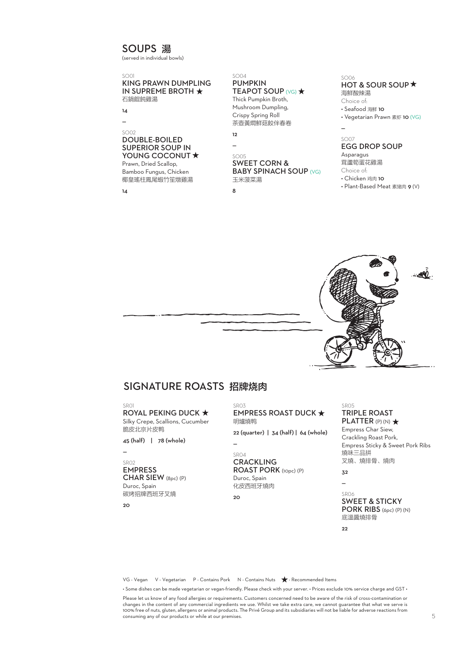# SOUPS 湯

(served in individual bowls)

#### SO01 KING PRAWN DUMPLING IN SUPREME BROTH 石鍋餛飩雞湯

14 —

#### SO02 DOUBLE-BOILED SUPERIOR SOUP IN YOUNG COCONUT \* Prawn, Dried Scallop,

Bamboo Fungus, Chicken 椰皇瑤柱鳳尾蝦竹笙燉雞湯

14

#### SO04 PUMPKIN **TEAPOT SOUP (VG) ★**

Thick Pumpkin Broth, Mushroom Dumpling, Crispy Spring Roll 茶壺黃燜鲜菇餃伴春卷 12

— SO05

# SWEET CORN &

#### **BABY SPINACH SOUP (VG)** 玉米菠菜湯

8

#### SO06 HOT & SOUR SOUP \* 海鮮酸辣湯

Choice of: • Seafood 海鲜 10 • Vegetarian Prawn 素虾 10 (VG)

# SO07

—

## EGG DROP SOUP

Asparagus 茸蘆筍蛋花雞湯

Choice of:

• Chicken 鸡肉 10

• Plant-Based Meat 素猪肉 9 (V)



# SIGNATURE ROASTS 招牌烧肉

SDO1

**ROYAL PEKING DUCK ★** Silky Crepe, Scallions, Cucumber 脆皮北京片皮鸭

45 (half) | 78 (whole)

—

### SR02 EMPRESS

CHAR SIEW (8pc) (P) Duroc, Spain 碳烤招牌西班牙叉燒

 $20$ 

SDO3 EMPRESS ROAST DUCK ★ 明爐燒鸭 22 (quarter) | 34 (half) | 64 (whole)

 $\overline{a}$ SR04 **CRACKLING** 

ROAST PORK (10pc) (P) Duroc, Spain 化皮西班牙燒肉

 $20$ 

SDO5 TRIPLE ROAST PLATTER (P) (N)  $\star$ Empress Char Siew,

Crackling Roast Pork, Empress Sticky & Sweet Pork Ribs 燒味三品拼 叉燒、燒排骨、燒肉

32 —

SR06 SWEET & STICKY PORK RIBS (6pc) (P) (N) 底溫醬燒排骨

22

VG - Vegan V - Vegetarian P - Contains Pork N - Contains Nuts  $\bigstar$  - Recommended Items

• Some dishes can be made vegetarian or vegan-friendly. Please check with your server. • Prices exclude 10% service charge and GST •

Please let us know of any food allergies or requirements. Customers concerned need to be aware of the risk of cross-contamination or changes in the content of any commercial ingredients we use. Whilst we take extra care, we cannot guarantee that what we serve is 100% free of nuts, gluten, allergens or animal products. The Privé Group and its subsidiaries will not be liable for adverse reactions from consuming any of our products or while at our premises.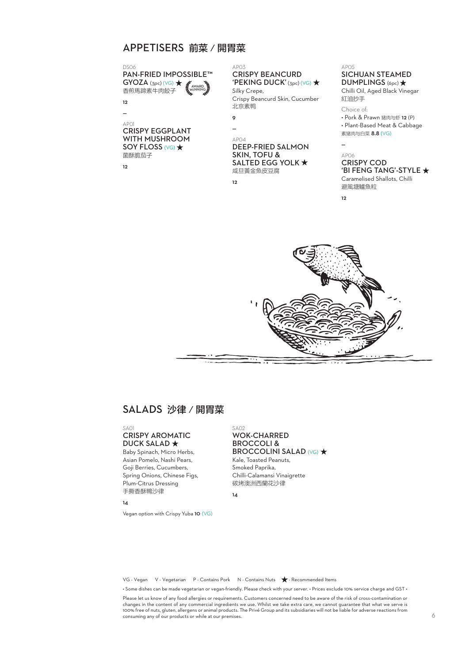# APPETISERS 前菜/開胃菜

DS06 PAN-FRIED IMPOSSIBLE™  $GYOZA$  (3pc) (VG)  $\bigstar$ 香煎馬蹄素牛肉餃子 AWARD WINNING

**12**  $\overline{a}$ 

AP01 CRISPY EGGPLANT WITH MUSHROOM SOY FLOSS (VG)  $\star$ 菌酥脆茄子

12

AP03 CRISPY BEANCURD 'PEKING DUCK' (3pc) (VG)  $\star$ 

Silky Crepe, Crispy Beancurd Skin, Cucumber 北京素鸭

| č |
|---|
|   |
|   |

AP04 DEEP-FRIED SALMON SKIN, TOFU & SALTED EGG YOLK  $\star$ 咸旦黃金魚皮豆腐

12

AP06 CRISPY COD 'BI FENG TANG'-STYLE

素猪肉与白菜 8.8 (VG)

SICHUAN STEAMED DUMPLINGS (6pc) \* Chilli Oil, Aged Black Vinegar

• Pork & Prawn 猪肉与虾 12 (P) • Plant-Based Meat & Cabbage

Caramelised Shallots, Chilli 避風塘鱸魚粒

 $12$ 

—

AP05

紅油抄手 Choice of:



# SALADS 沙律/開胃菜

#### $S_{\Delta}$ 01 CRISPY AROMATIC **DUCK SALAD ★**

Baby Spinach, Micro Herbs, Asian Pomelo, Nashi Pears, Goji Berries, Cucumbers, Spring Onions, Chinese Figs, Plum-Citrus Dressing 手撕香酥鴨沙律

14

Vegan option with Crispy Yuba 10 (VG)

#### SA02 WOK-CHARRED BROCCOLI & **BROCCOLINI SALAD (VG) ★** Kale, Toasted Peanuts, Smoked Paprika, Chilli-Calamansi Vinaigrette 碳烤澳洲西蘭花沙律

 $14$ 

VG - Vegan V - Vegetarian P - Contains Pork N - Contains Nuts  $\bigstar$  - Recommended Items

• Some dishes can be made vegetarian or vegan-friendly. Please check with your server. • Prices exclude 10% service charge and GST •

Please let us know of any food allergies or requirements. Customers concerned need to be aware of the risk of cross-contamination or<br>changes in the content of any commercial ingredients we use. Whilst we take extra care, w 100% free of nuts, gluten, allergens or animal products. The Privé Group and its subsidiaries will not be liable for adverse reactions from consuming any of our products or while at our premises.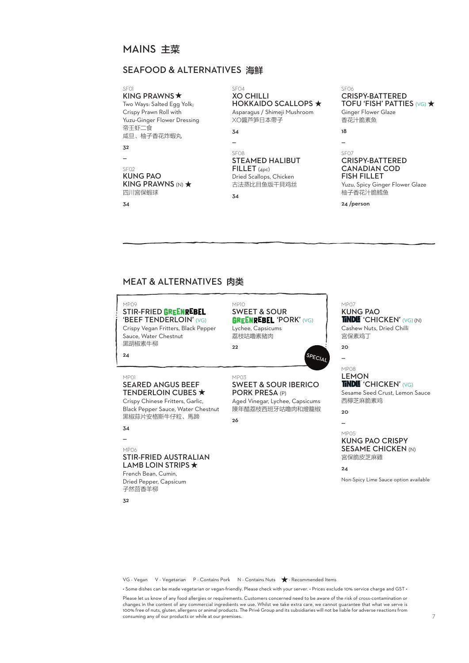# MAINS 主菜

# SEAFOOD & ALTERNATIVES 海鮮

KING PRAWNS  $\star$ Two Ways: Salted Egg Yolk; Crispy Prawn Roll with Yuzu-Ginger Flower Dressing 帝王虾二食

咸旦、柚子香花炸蝦丸

 $\mathbf{z}$  $\overline{\phantom{a}}$ 

SF02

#### KUNG PAO KING PRAWNS  $(N)$   $\star$ 四川宮保蝦球

34

#### SF04 XO CHILLI **HOKKAIDO SCALLOPS ★** Asparagus / Shimeji Mushroom

XO醬芦笋日本帶子 34

#### SF08 STEAMED HALIBUT FILLET (4pc) Dried Scallops, Chicken 古法蒸比目鱼版干貝鸡丝

34

 $MDO3$ 

26

 $\overline{a}$ 

#### SF06 CRISPY-BATTERED TOFU 'FISH' PATTIES (VG)  $\star$ Ginger Flower Glaze 香花汁脆素魚

18  $\overline{a}$ 

#### SF07 CRISPY-BATTERED CANADIAN COD FISH FILLET

Yuzu, Spicy Ginger Flower Glaze 柚子香花汁脆鳕鱼

24 /person

# MEAT & ALTERNATIVES 肉类

## $MDOO$

#### STIR-FRIED GREENREBEL 'BEEF TENDERLOIN' (VG)

SEARED ANGUS BEEF **TENDERLOIN CUBES ★** Crispy Chinese Fritters, Garlic, Black Pepper Sauce, Water Chestnut

Crispy Vegan Fritters, Black Pepper Sauce, Water Chestnut 黑胡椒素牛柳

#### MP10 SWEET & SOUR **GREENREBEL 'PORK' (VG)** Lychee, Capsicums

荔枝咕嚕素豬肉 22

SWEET & SOUR IBERICO

Aged Vinegar, Lychee, Capsicums 陳年醋荔枝西班牙咕嚕肉和燈籠椒

PORK PRESA (P)

#### MP07 KUNG PAO TINDLE 'CHICKEN' (VG) (N) Cashew Nuts, Dried Chilli 宮保素鸡丁

 $20$ —

SPECIAL

#### MP08 **LEMON** TINDLE 'CHICKEN' (VG)

Sesame Seed Crust, Lemon Sauce 西檸芝麻脆素鸡

 $20$ —

#### MP05 KUNG PAO CRISPY SESAME CHICKEN (N) 宮保脆皮芝麻雞

 $24$ 

Non-Spicy Lime Sauce option available

VG - Vegan V - Vegetarian P - Contains Pork N - Contains Nuts  $\bigstar$  - Recommended Items

• Some dishes can be made vegetarian or vegan-friendly. Please check with your server. • Prices exclude 10% service charge and GST •

Please let us know of any food allergies or requirements. Customers concerned need to be aware of the risk of cross-contamination or changes in the content of any commercial ingredients we use. Whilst we take extra care, we cannot guarantee that what we serve is 100% free of nuts, gluten, allergens or animal products. The Privé Group and its subsidiaries will not be liable for adverse reactions from consuming any of our products or while at our premises.

# 黑椒蒜片安格斯牛仔粒、馬蹄

#### — MP06

34

MP01

24

### STIR-FRIED AUSTRALIAN LAMB LOIN STRIPS  $\star$ French Bean, Cumin,

Dried Pepper, Capsicum 子然茴香羊柳

 $Z<sub>2</sub>$ 

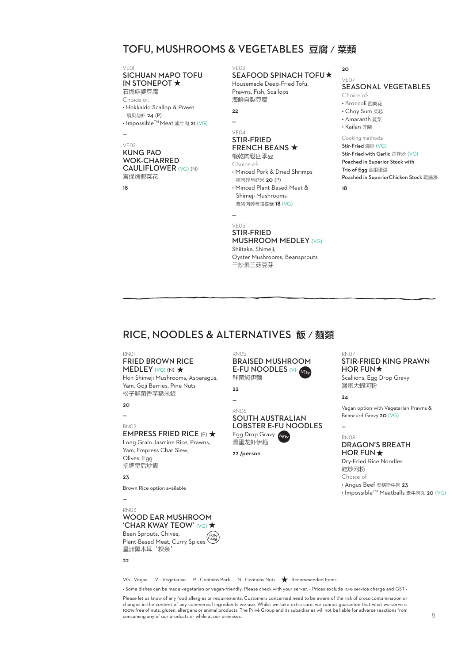# TOFU, MUSHROOMS & VEGETABLES 豆腐/菜類

## VE01<br>**SICHUAN MAPO TOFU** IN STONEPOT \* 石煱麻婆豆腐

Choice of:

• Hokkaido Scallop & Prawn

 扇贝与虾 24 (P) • Impossible™ Meat 素牛肉 21 (VG)

#### — VE02

#### KUNG PAO WOK-CHARRED CAULIFLOWER (VG) (N) 宮保烤椰菜花

18

# VE03

#### SEAFOOD SPINACH TOFU Housemade Deep-Fried Tofu,

Prawns, Fish, Scallops 海鮮自製豆腐

 $22$ 

— VE04

—

### STIR-FRIED FRENCH BEANS  $\star$

蝦乾肉鬆四季豆 Choice of: • Minced Pork & Dried Shrimps 猪肉碎与虾米 20 (P)

• Minced Plant-Based Meat & Shimeji Mushrooms 素猪肉碎与鴻喜菇 18 (VG)

VE05 STIR-FRIED MUSHROOM MEDLEY (VG) Shiitake, Shimeji, Oyster Mushrooms, Beansprouts

BRAISED MUSHROOM E-FU NOODLES (V)

NEW

SOUTH AUSTRALIAN LOBSTER E-FU NOODLES

Egg Drop Gravy NEW 滑蛋龙虾伊麵 22 /person

干炒素三菇豆芽

20

#### VE07 SEASONAL VEGETABLES

Choice of: • Broccoli 西蘭花 • Choy Sum 菜芯 • Amaranth 莧菜 • Kailan 芥蘭 Cooking methods: Stir-Fried 清炒 (VG) Stir-Fried with Garlic 蒜蓉炒 (VG) Poached in Superior Stock with Trio of Egg 金銀蛋浸 Poached in SuperiorChicken Stock 雞湯浸

18

# RICE, NOODLES & ALTERNATIVES 飯/麵類

RN05

22 — RN06

鲜菌焖伊麵

#### RN01

#### FRIED BROWN RICE MEDLEY  $(VG)$  (N)  $\star$

Hon Shimeji Mushrooms, Asparagus, Yam, Goji Berries, Pine Nuts 松子鮮菌香芋糙米飯

20

## —

#### RN02 EMPRESS FRIED RICE (P)  $\star$

Long Grain Jasmine Rice, Prawns, Yam, Empress Char Siew, Olives, Egg 招牌皇后炒飯

#### 23

Brown Rice option available

# —

#### RN03 WOOD EAR MUSHROOM 'CHAR KWAY TEOW' (VG) ★

Bean Sprouts, Chives, Plant-Based Meat, Curry Spices 星洲黑木耳'粿条' LOW CARB

#### $22$

VG - Vegan V - Vegetarian P - Contains Pork N - Contains Nuts  $\bigstar$  - Recommended Items

• Some dishes can be made vegetarian or vegan-friendly. Please check with your server. • Prices exclude 10% service charge and GST •

Please let us know of any food allergies or requirements. Customers concerned need to be aware of the risk of cross-contamination or<br>changes in the content of any commercial ingredients we use. Whilst we take extra care, w 100% free of nuts, gluten, allergens or animal products. The Privé Group and its subsidiaries will not be liable for adverse reactions from consuming any of our products or while at our premises.

## RN07

## STIR-FRIED KING PRAWN HOR FUN $\star$

Scallions, Egg Drop Gravy 滑蛋大蝦河粉

#### $24$

—

Vegan option with Vegetarian Prawns & Beancurd Gravy 20 (VG)

#### RN08

### DRAGON'S BREATH HOR FUN  $\star$

Dry-Fried Rice Noodles 乾炒河粉 Choice of:

• Angus Beef 安格斯牛肉 23

• Impossible™ Meatballs 素牛肉丸 20 (VG)